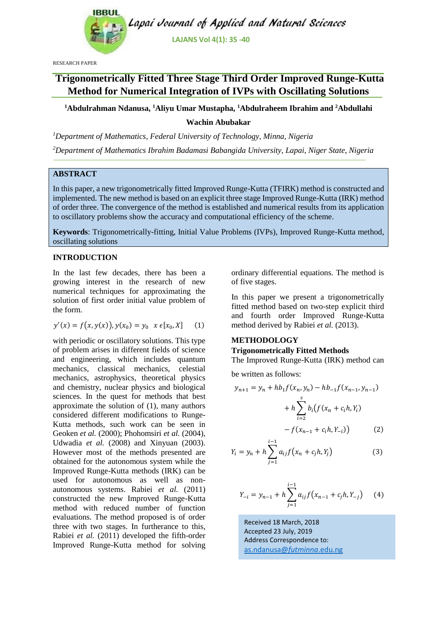

RESEARCH PAPER

# **Trigonometrically Fitted Three Stage Third Order Improved Runge-Kutta Method for Numerical Integration of IVPs with Oscillating Solutions**

**<sup>1</sup>Abdulrahman Ndanusa, <sup>1</sup>Aliyu Umar Mustapha, <sup>1</sup>Abdulraheem Ibrahim and <sup>2</sup>Abdullahi Wachin Abubakar**

*<sup>1</sup>Department of Mathematics, Federal University of Technology, Minna, Nigeria <sup>2</sup>Department of Mathematics Ibrahim Badamasi Babangida University, Lapai, Niger State, Nigeria*

## **ABSTRACT**

In this paper, a new trigonometrically fitted Improved Runge-Kutta (TFIRK) method is constructed and implemented. The new method is based on an explicit three stage Improved Runge-Kutta (IRK) method of order three. The convergence of the method is established and numerical results from its application to oscillatory problems show the accuracy and computational efficiency of the scheme.

**Keywords**: Trigonometrically-fitting, Initial Value Problems (IVPs), Improved Runge-Kutta method, oscillating solutions

## **INTRODUCTION**

In the last few decades, there has been a growing interest in the research of new numerical techniques for approximating the solution of first order initial value problem of the form.

$$
y'(x) = f(x, y(x)), y(x_0) = y_0 \ x \epsilon[x_0, X] \tag{1}
$$

with periodic or oscillatory solutions. This type of problem arises in different fields of science and engineering, which includes quantum mechanics, classical mechanics, celestial mechanics, astrophysics, theoretical physics and chemistry, nuclear physics and biological sciences. In the quest for methods that best approximate the solution of (1), many authors considered different modifications to Runge-Kutta methods, such work can be seen in Geoken *et al.* (2000); Phohomsiri *et al.* (2004), Udwadia *et al.* (2008) and Xinyuan (2003). However most of the methods presented are obtained for the autonomous system while the Improved Runge-Kutta methods (IRK) can be used for autonomous as well as nonautonomous systems. Rabiei *et al.* (2011) constructed the new Improved Runge-Kutta method with reduced number of function evaluations. The method proposed is of order three with two stages. In furtherance to this, Rabiei *et al.* (2011) developed the fifth-order Improved Runge-Kutta method for solving ordinary differential equations. The method is of five stages.

In this paper we present a trigonometrically fitted method based on two-step explicit third and fourth order Improved Runge-Kutta method derived by Rabiei *et al.* (2013).

## **METHODOLOGY**

## **Trigonometrically Fitted Methods**

The Improved Runge-Kutta (IRK) method can

be written as follows:

$$
y_{n+1} = y_n + hb_1 f(x_n, y_n) - hb_{-1} f(x_{n-1}, y_{n-1})
$$

$$
+ h \sum_{i=2}^{s} b_i (f(x_n + c_i h, Y_i)
$$

$$
- f(x_{n-1} + c_i h, Y_{-i})) \tag{2}
$$

$$
Y_i = y_n + h \sum_{j=1}^{i-1} a_{ij} f(x_n + c_j h, Y_j)
$$
 (3)

$$
Y_{-i} = y_{n-1} + h \sum_{j=1}^{i-1} a_{ij} f(x_{n-1} + c_j h, Y_{-j})
$$
 (4)

Received 18 March, 2018 Accepted 23 July, 2019 Address Correspondence to: [as.ndanusa@](mailto:as.ndanusa@futminna.edu.ng)*futminna*.edu.ng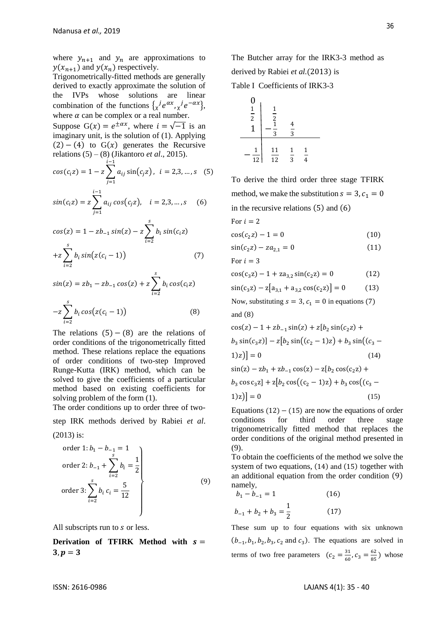where  $y_{n+1}$  and  $y_n$  are approximations to  $y(x_{n+1})$  and  $y(x_n)$  respectively.

Trigonometrically-fitted methods are generally derived to exactly approximate the solution of the IVPs whose solutions are linear combination of the functions  $\{x^j e^{ax}, x^j e^{-ax}\}$ ,  $\begin{matrix} 0 \\ 1 \end{matrix}$ where  $\alpha$  can be complex or a real number. Suppose G(x) =  $e^{\pm \alpha x}$ , where  $i = \sqrt{-1}$  is an <br>1 imaginary unit, is the solution of (1). Applying  $(2) - (4)$  to G(x) generates the Recursive relations  $(5) - (8)$  (Jikantoro *et al.*, 2015).  $\qquad$  $i-1$ 

$$
cos(ciz) = 1 - z \sum_{j=1} a_{ij} sin(c_j z), \quad i = 2, 3, ..., s \quad (5)
$$

$$
sin(ciz) = z \sum_{j=1}^{i-1} a_{ij} cos(c_j z), \quad i = 2,3,...,s \quad (6)
$$

$$
cos(z) = 1 - zb_{-1} sin(z) - z \sum_{i=2}^{s} b_i sin(c_i z)
$$
  
+
$$
z \sum_{i=2}^{s} b_i sin(z(c_i - 1))
$$
 (7)

$$
sin(z) = zb_1 - zb_{-1} cos(z) + z \sum_{i=2}^{s} b_i cos(c_i z)
$$

$$
-z \sum_{i=2}^{s} b_i cos(z(c_i - 1))
$$
(8)

The relations  $(5) - (8)$  are the relations of order conditions of the trigonometrically fitted method. These relations replace the equations of order conditions of two-step Improved Runge-Kutta (IRK) method, which can be solved to give the coefficients of a particular method based on existing coefficients for solving problem of the form (1).

The order conditions up to order three of twostep IRK methods derived by Rabiei *et al*.

#### (2013) is:

order 1: 
$$
b_1 - b_{-1} = 1
$$
  
\norder 2:  $b_{-1} + \sum_{i=2}^{s} b_i = \frac{1}{2}$   
\norder 3:  $\sum_{i=2}^{s} b_i c_i = \frac{5}{12}$  (9)

All subscripts run to s or less.

**Derivation of TFIRK Method with**  $s =$  $3, p = 3$ 

The Butcher array for the IRK3-3 method as derived by Rabiei *et al.*(2013) is

Table I Coefficients of IRK3-3



To derive the third order three stage TFIRK method, we make the substitution  $s = 3$ ,  $c_1 = 0$ in the recursive relations (5) and (6)

$$
For i = 2
$$

$$
\cos(c_2 z) - 1 = 0 \tag{10}
$$

$$
\sin(c_2 z) - z a_{2,1} = 0 \tag{11}
$$

For 
$$
i = 3
$$

$$
\cos(c_3 z) - 1 + z a_{3,2} \sin(c_2 z) = 0 \tag{12}
$$

$$
\sin(c_3 z) - z[a_{3,1} + a_{3,2} \cos(c_2 z)] = 0 \tag{13}
$$

Now, substituting  $s = 3$ ,  $c_1 = 0$  in equations (7) and (8)

$$
\cos(z) - 1 + zb_{-1}\sin(z) + z[b_2\sin(c_2z) + b_3\sin(c_3z)] - z[b_2\sin((c_2 - 1)z) + b_3\sin((c_3 - 1)z)] = 0
$$
\n(14)  
\n
$$
\sin(z) - zb_1 + zb_{-1}\cos(z) - z[b_2\cos(c_2z) + b_3\cos(c_3z)] + z[b_2\cos((c_2 - 1)z) + b_3\cos((c_3 - 1)z)] = 0
$$
\n(15)

Equations (12)  $-$ (15) are now the equations of order conditions for third order three stage trigonometrically fitted method that replaces the order conditions of the original method presented in (9).

To obtain the coefficients of the method we solve the system of two equations, (14) and (15) together with an additional equation from the order condition (9) namely,

$$
b_1 - b_{-1} = 1
$$
 (16)  

$$
b_{-1} + b_2 + b_3 = \frac{1}{2}
$$
 (17)

These sum up to four equations with six unknown  $(b_{-1}, b_1, b_2, b_3, c_2 \text{ and } c_3)$ . The equations are solved in terms of two free parameters  $(c_2 = \frac{31}{60})$  $\frac{31}{60}$ ,  $c_3 = \frac{62}{85}$  $\frac{62}{85}$ ) whose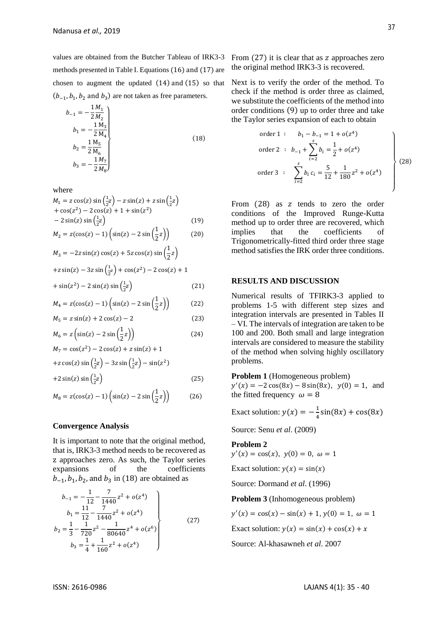values are obtained from the Butcher Tableau of IRK3-3 methods presented in Table I. Equations (16) and (17) are chosen to augment the updated (14) and (15) so that  $(b_{-1}, b_1, b_2 \text{ and } b_3)$  are not taken as free parameters.

$$
b_{-1} = -\frac{1}{2} \frac{M_1}{M_2}
$$
  
\n
$$
b_1 = -\frac{1}{2} \frac{M_3}{M_4}
$$
  
\n
$$
b_2 = \frac{1}{2} \frac{M_5}{M_6}
$$
  
\n
$$
b_3 = -\frac{1}{2} \frac{M_7}{M_8}
$$
\n(18)

where

$$
M_1 = z \cos(z) \sin\left(\frac{1}{2}z\right) - z \sin(z) + z \sin\left(\frac{1}{2}z\right) + \cos(z^2) - 2 \cos(z) + 1 + \sin(z^2) - 2 \sin(z) \sin\left(\frac{1}{2}z\right)
$$
 (19)

$$
M_2 = z(\cos(z) - 1) \left( \sin(z) - 2 \sin\left(\frac{1}{2}z\right) \right) \tag{20}
$$

$$
M_3 = -2z \sin(z) \cos(z) + 5z \cos(z) \sin(\frac{1}{2}z)
$$
  
+z \sin(z) - 3z \sin(\frac{1}{2}z) + \cos(z^2) - 2 \cos(z) + 1  
+ \sin(z^2) - 2 \sin(z) \sin(\frac{1}{2}z) (21)

$$
M_4 = z(\cos(z) - 1) \left( \sin(z) - 2 \sin\left(\frac{1}{2}z\right) \right) \tag{22}
$$

$$
M_5 = z \sin(z) + 2 \cos(z) - 2 \tag{23}
$$

$$
M_6 = z \left( \sin(z) - 2 \sin\left(\frac{1}{2}z\right) \right) \tag{24}
$$

$$
M_7 = \cos(z^2) - 2\cos(z) + z\sin(z) + 1
$$
  
+
$$
z\cos(z)\sin(\frac{1}{2}z) - 3z\sin(\frac{1}{2}z) - \sin(z^2)
$$
  
+
$$
2\sin(z)\sin(\frac{1}{2}z)
$$
 (25)

$$
(25)
$$

$$
M_8 = z(\cos(z) - 1) \left( \sin(z) - 2 \sin\left(\frac{1}{2}z\right) \right) \tag{26}
$$

#### **Convergence Analysis**

It is important to note that the original method, that is, IRK3-3 method needs to be recovered as z approaches zero. As such, the Taylor series expansions of the coefficients  $b_{-1}$ ,  $b_1$ ,  $b_2$ , and  $b_3$  in (18) are obtained as

$$
b_{-1} = -\frac{1}{12} - \frac{7}{1440}z^2 + o(z^4)
$$
  
\n
$$
b_1 = \frac{11}{12} - \frac{7}{1440}z^2 + o(z^4)
$$
  
\n
$$
b_2 = \frac{1}{3} - \frac{1}{720}z^2 - \frac{1}{80640}z^4 + o(z^6)
$$
  
\n
$$
b_3 = \frac{1}{4} + \frac{1}{160}z^2 + o(z^4)
$$
\n(27)

From  $(27)$  it is clear that as z approaches zero the original method IRK3-3 is recovered.

Next is to verify the order of the method. To check if the method is order three as claimed, we substitute the coefficients of the method into order conditions (9) up to order three and take the Taylor series expansion of each to obtain

order 1 : 
$$
b_1 - b_{-1} = 1 + o(z^4)
$$
  
\norder 2 :  $b_{-1} + \sum_{i=2}^{s} b_i = \frac{1}{2} + o(z^4)$   
\norder 3 :  $\sum_{i=2}^{s} b_i c_i = \frac{5}{12} + \frac{1}{180}z^2 + o(z^4)$  (28)

From  $(28)$  as z tends to zero the order conditions of the Improved Runge-Kutta method up to order three are recovered, which implies that the coefficients of Trigonometrically-fitted third order three stage method satisfies the IRK order three conditions.

## **RESULTS AND DISCUSSION**

Numerical results of TFIRK3-3 applied to problems 1-5 with different step sizes and integration intervals are presented in Tables II – VI. The intervals of integration are taken to be 100 and 200. Both small and large integration intervals are considered to measure the stability of the method when solving highly oscillatory problems.

**Problem 1** (Homogeneous problem)

 $y'(x) = -2\cos(8x) - 8\sin(8x), \ y(0) = 1, \text{ and}$ the fitted frequency  $\omega = 8$ 

Exact solution:  $y(x) = -\frac{1}{4}$  $\frac{1}{4}\sin(8x) + \cos(8x)$ 

Source: Senu *et al*. (2009)

#### **Problem 2**

 $y'(x) = \cos(x), y(0) = 0, \omega = 1$ 

Exact solution:  $y(x) = \sin(x)$ 

Source: Dormand *et al*. (1996)

**Problem 3** (Inhomogeneous problem)

 $y'(x) = \cos(x) - \sin(x) + 1$ ,  $y(0) = 1$ ,  $\omega = 1$ 

Exact solution:  $y(x) = \sin(x) + \cos(x) + x$ 

Source: Al-khasawneh *et al*. 2007

}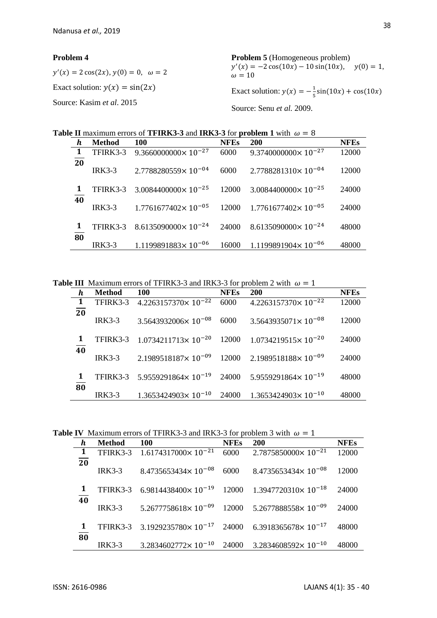### **Problem 4**

 $y'(x) = 2 \cos(2x), y(0) = 0, \omega = 2$ Exact solution:  $y(x) = \sin(2x)$ Source: Kasim *et al*. 2015 **Problem 5** (Homogeneous problem)  $y'(x) = -2\cos(10x) - 10\sin(10x), \quad y(0) = 1,$  $\omega = 10$ Exact solution:  $y(x) = -\frac{1}{x}$  $\frac{1}{5}$ sin(10x) + cos(10x) Source: Senu *et al.* 2009.

**Table II** maximum errors of **TFIRK3-3** and **IRK3-3** for **problem 1** with  $\omega = 8$ 

| h               | <b>Method</b> | <b>100</b>                              | <b>NFEs</b> | <b>200</b>                     | <b>NFEs</b> |
|-----------------|---------------|-----------------------------------------|-------------|--------------------------------|-------------|
| $\overline{1}$  | TFIRK3-3      | $9.3660000000 \times 10^{-27}$          | 6000        | $9.3740000000 \times 10^{-27}$ | 12000       |
| $\overline{20}$ | $IRK3-3$      | $2.7788280559 \times 10^{-04}$          | 6000        | $2.7788281310 \times 10^{-04}$ | 12000       |
|                 | TFIRK3-3      | $3.0084400000 \times 10^{-25}$          | 12000       | $3.0084400000 \times 10^{-25}$ | 24000       |
| $\overline{40}$ | $IRK3-3$      | $1.7761677402 \times 10^{-05}$          | 12000       | $1.7761677402 \times 10^{-05}$ | 24000       |
| 1               |               | TFIRK3-3 8.6135090000×10 <sup>-24</sup> | 24000       | $8.6135090000 \times 10^{-24}$ | 48000       |
| 80              | $IRK3-3$      | $1.1199891883 \times 10^{-06}$          | 16000       | $1.1199891904 \times 10^{-06}$ | 48000       |

**Table III** Maximum errors of TFIRK3-3 and IRK3-3 for problem 2 with  $\omega = 1$ 

| h                          | <b>Method</b> | <b>100</b>                     | <b>NFEs</b> | <b>200</b>                     | <b>NFEs</b> |
|----------------------------|---------------|--------------------------------|-------------|--------------------------------|-------------|
| $\overline{\phantom{0}}$ 1 | TFIRK3-3      | $4.2263157370\times 10^{-22}$  | 6000        | $4.2263157370 \times 10^{-22}$ | 12000       |
| $\overline{20}$            | $IRK3-3$      | $3.5643932006 \times 10^{-08}$ | 6000        | $3.5643935071\times 10^{-08}$  | 12000       |
|                            | TFIRK3-3      | $1.0734211713 \times 10^{-20}$ | 12000       | $1.0734219515 \times 10^{-20}$ | 24000       |
| 40                         | $IRK3-3$      | $2.1989518187 \times 10^{-09}$ | 12000       | $2.1989518188 \times 10^{-09}$ | 24000       |
| 80                         | TFIRK3-3      | $5.9559291864 \times 10^{-19}$ | 24000       | $5.9559291864 \times 10^{-19}$ | 48000       |
|                            | $IRK3-3$      | $1.3653424903 \times 10^{-10}$ | 24000       | $1.3653424903 \times 10^{-10}$ | 48000       |

**Table IV** Maximum errors of TFIRK3-3 and IRK3-3 for problem 3 with  $\omega = 1$ 

| h               | <b>Method</b> | 100                                                                                            | <b>NFEs</b> | <b>200</b>                                                          | <b>NFEs</b> |
|-----------------|---------------|------------------------------------------------------------------------------------------------|-------------|---------------------------------------------------------------------|-------------|
| $\blacksquare$  |               | TFIRK3-3 1.6174317000×10 <sup>-21</sup>                                                        |             | $6000$ $2.7875850000 \times 10^{-21}$                               | 12000       |
| $\overline{20}$ | <b>IRK3-3</b> | $8.4735653434 \times 10^{-08}$                                                                 | 6000        | $8.4735653434 \times 10^{-08}$                                      | 12000       |
| 1               | TFIRK3-3      | $6.9814438400 \times 10^{-19}$ 12000 1.3947720310 $\times$ 10 <sup>-18</sup>                   |             |                                                                     | 24000       |
| 40              | $IRK3-3$      |                                                                                                |             | $5.2677758618 \times 10^{-09}$ 12000 $5.2677888558 \times 10^{-09}$ | 24000       |
|                 |               | TFIRK3-3 3.1929235780 $\times$ 10 <sup>-17</sup> 24000 6.3918365678 $\times$ 10 <sup>-17</sup> |             |                                                                     | 48000       |
| 80              | $IRK3-3$      | $3.2834602772\times 10^{-10}$                                                                  | 24000       | $3.2834608592 \times 10^{-10}$                                      | 48000       |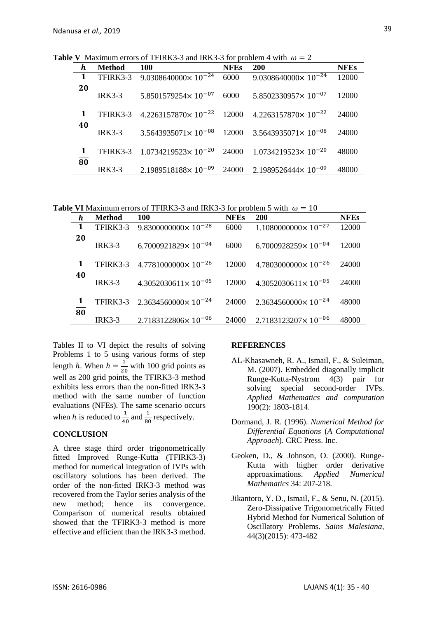**Table V** Maximum errors of TFIRK3-3 and IRK3-3 for problem 4 with  $\omega = 2$ 

| h               | <b>Method</b> | 100                                                                                            | <b>NFEs</b> | <b>200</b>                                      | <b>NFEs</b> |
|-----------------|---------------|------------------------------------------------------------------------------------------------|-------------|-------------------------------------------------|-------------|
| $\mathbf{1}$    |               | TFIRK3-3 9.0308640000 $\times$ 10 <sup>-24</sup>                                               |             | $6000$ 9.0308640000 $\times$ 10 <sup>-24</sup>  | 12000       |
| $\overline{20}$ | $IRK3-3$      | $5.8501579254 \times 10^{-07}$                                                                 | 6000        | $5.8502330957 \times 10^{-07}$                  | 12000       |
| 1               |               | TFIRK3-3 4.2263157870 $\times$ 10 <sup>-22</sup> 12000 4.2263157870 $\times$ 10 <sup>-22</sup> |             |                                                 | 24000       |
| 40              | $IRK3-3$      | $3.5643935071 \times 10^{-08}$                                                                 |             | $12000$ 3.5643935071 $\times$ 10 <sup>-08</sup> | 24000       |
| 80              |               | TFIRK3-3 1.0734219523×10 <sup>-20</sup> 24000 1.0734219523×10 <sup>-20</sup>                   |             |                                                 | 48000       |
|                 | $IRK3-3$      | $2.1989518188 \times 10^{-09}$                                                                 |             | $24000$ 2.1989526444 $\times$ 10 <sup>-09</sup> | 48000       |

**Table VI** Maximum errors of TFIRK3-3 and IRK3-3 for problem 5 with  $\omega = 10$ 

|                 | <b>Method</b> | 100                                              | <b>NFEs</b> | <b>200</b>                     | <b>NFEs</b> |
|-----------------|---------------|--------------------------------------------------|-------------|--------------------------------|-------------|
| $\mathbf{1}$    | TFIRK3-3      | $9.83000000000 \times 10^{-28}$                  | 6000        | $1.1080000000 \times 10^{-27}$ | 12000       |
| $\overline{20}$ | $IRK3-3$      | $6.7000921829 \times 10^{-04}$                   | 6000        | $6.7000928259\times 10^{-04}$  | 12000       |
|                 |               | TFIRK3-3 4.7781000000×10 <sup>-26</sup>          | 12000       | $4.7803000000 \times 10^{-26}$ | 24000       |
| 40              | $IRK3-3$      | $4.3052030611 \times 10^{-05}$                   | 12000       | $4.3052030611 \times 10^{-05}$ | 24000       |
| 80              |               | TFIRK3-3 2.3634560000 $\times$ 10 <sup>-24</sup> | 24000       | $2.3634560000 \times 10^{-24}$ | 48000       |
|                 | $IRK3-3$      | $2.7183122806 \times 10^{-06}$                   | 24000       | $2.7183123207 \times 10^{-06}$ | 48000       |

Tables II to VI depict the results of solving Problems 1 to 5 using various forms of step length *h*. When  $h = \frac{1}{2}$  $\frac{1}{20}$  with 100 grid points as well as 200 grid points, the TFIRK3-3 method exhibits less errors than the non-fitted IRK3-3 method with the same number of function evaluations (NFEs). The same scenario occurs when h is reduced to  $\frac{1}{40}$  and  $\frac{1}{80}$  respectively.

#### **CONCLUSION**

A three stage third order trigonometrically fitted Improved Runge-Kutta (TFIRK3-3) method for numerical integration of IVPs with oscillatory solutions has been derived. The order of the non-fitted IRK3-3 method was recovered from the Taylor series analysis of the new method; hence its convergence. Comparison of numerical results obtained showed that the TFIRK3-3 method is more effective and efficient than the IRK3-3 method.

#### **REFERENCES**

- AL-Khasawneh, R. A., Ismail, F., & Suleiman, M. (2007). Embedded diagonally implicit Runge-Kutta-Nystrom 4(3) pair for solving special second-order IVPs. *Applied Mathematics and computation*  190(2): 1803-1814.
- Dormand, J. R. (1996). *Numerical Method for Differential Equations* (*A Computational Approach*). CRC Press. Inc.
- Geoken, D., & Johnson, O. (2000). Runge-Kutta with higher order derivative approaximations. *Applied Numerical Mathematics* 34: 207-218.
- Jikantoro, Y. D., Ismail, F., & Senu, N. (2015). Zero-Dissipative Trigonometrically Fitted Hybrid Method for Numerical Solution of Oscillatory Problems. *Sains Malesiana*, 44(3)(2015): 473-482